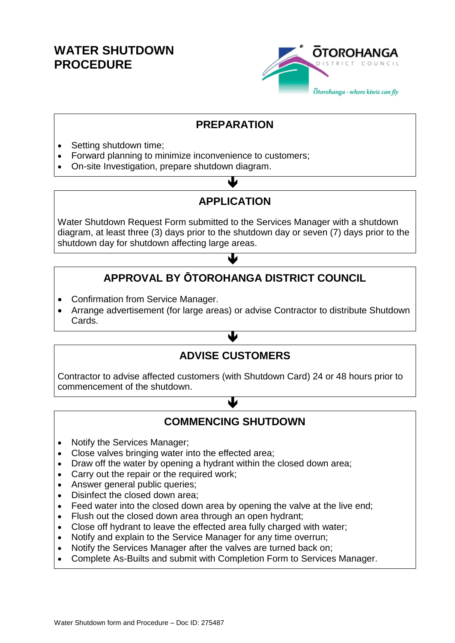## **WATER SHUTDOWN PROCEDURE**



#### **PREPARATION**

- Setting shutdown time;
- Forward planning to minimize inconvenience to customers;
- On-site Investigation, prepare shutdown diagram.

### **APPLICATION**

 $\blacktriangledown$ 

Water Shutdown Request Form submitted to the Services Manager with a shutdown diagram, at least three (3) days prior to the shutdown day or seven (7) days prior to the shutdown day for shutdown affecting large areas.

# **APPROVAL BY ŌTOROHANGA DISTRICT COUNCIL**

 $\blacklozenge$ 

- Confirmation from Service Manager.
- Arrange advertisement (for large areas) or advise Contractor to distribute Shutdown Cards.

#### **ADVISE CUSTOMERS**

 $\blacklozenge$ 

Contractor to advise affected customers (with Shutdown Card) 24 or 48 hours prior to commencement of the shutdown.

#### **COMMENCING SHUTDOWN**

业

- Notify the Services Manager;
- Close valves bringing water into the effected area;
- Draw off the water by opening a hydrant within the closed down area;
- Carry out the repair or the required work;
- Answer general public queries;
- Disinfect the closed down area:
- Feed water into the closed down area by opening the valve at the live end;
- Flush out the closed down area through an open hydrant;
- Close off hydrant to leave the effected area fully charged with water;
- Notify and explain to the Service Manager for any time overrun;
- Notify the Services Manager after the valves are turned back on;
- Complete As-Builts and submit with Completion Form to Services Manager.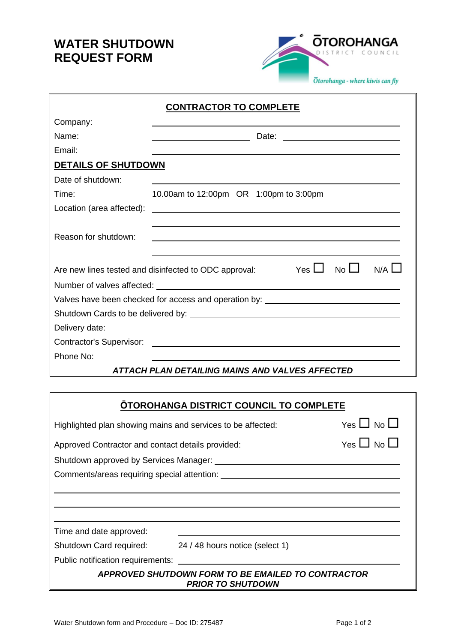## **WATER SHUTDOWN REQUEST FORM**



| <b>CONTRACTOR TO COMPLETE</b>   |                                                                                                                       |  |  |  |  |
|---------------------------------|-----------------------------------------------------------------------------------------------------------------------|--|--|--|--|
| Company:                        |                                                                                                                       |  |  |  |  |
| Name:                           |                                                                                                                       |  |  |  |  |
| Email:                          |                                                                                                                       |  |  |  |  |
| <b>DETAILS OF SHUTDOWN</b>      |                                                                                                                       |  |  |  |  |
| Date of shutdown:               |                                                                                                                       |  |  |  |  |
| Time:                           | 10.00am to 12:00pm OR 1:00pm to 3:00pm                                                                                |  |  |  |  |
| Location (area affected):       | <u> 1980 - Johann Barbara, martxa alemaniar argametar a martxa a shekara a shekara a shekara a shekara a shekara</u>  |  |  |  |  |
| Reason for shutdown:            | ,我们也不会有什么。""我们的人,我们也不会有什么?""我们的人,我们也不会有什么?""我们的人,我们也不会有什么?""我们的人,我们也不会有什么?""我们的人                                      |  |  |  |  |
|                                 | No <sub>L</sub><br>N/A<br>Yes $\Box$<br>Are new lines tested and disinfected to ODC approval:                         |  |  |  |  |
|                                 |                                                                                                                       |  |  |  |  |
|                                 | Valves have been checked for access and operation by: __________________________                                      |  |  |  |  |
|                                 |                                                                                                                       |  |  |  |  |
| Delivery date:                  |                                                                                                                       |  |  |  |  |
| <b>Contractor's Supervisor:</b> | <u> 1989 - Johann John Stein, markin sanadi a shekara 1989 - An an tsarani a shekara 1989 - An an tsarani a sheka</u> |  |  |  |  |
| Phone No:                       |                                                                                                                       |  |  |  |  |
|                                 | ATTACH PLAN DETAILING MAINS AND VALVES AFFECTED                                                                       |  |  |  |  |

| <b>OTOROHANGA DISTRICT COUNCIL TO COMPLETE</b>                                        |                                                                                                                  |  |  |  |  |
|---------------------------------------------------------------------------------------|------------------------------------------------------------------------------------------------------------------|--|--|--|--|
| Highlighted plan showing mains and services to be affected:                           | Yes $\Box$ No $\Box$                                                                                             |  |  |  |  |
| Approved Contractor and contact details provided:                                     | Yes $\Box$ No $\Box$                                                                                             |  |  |  |  |
|                                                                                       |                                                                                                                  |  |  |  |  |
|                                                                                       |                                                                                                                  |  |  |  |  |
|                                                                                       |                                                                                                                  |  |  |  |  |
|                                                                                       |                                                                                                                  |  |  |  |  |
|                                                                                       |                                                                                                                  |  |  |  |  |
| Time and date approved:                                                               |                                                                                                                  |  |  |  |  |
| Shutdown Card required:                                                               | 24 / 48 hours notice (select 1)                                                                                  |  |  |  |  |
|                                                                                       | Public notification requirements: when the control of the control of the control of the control of the control o |  |  |  |  |
| <b>APPROVED SHUTDOWN FORM TO BE EMAILED TO CONTRACTOR</b><br><b>PRIOR TO SHUTDOWN</b> |                                                                                                                  |  |  |  |  |